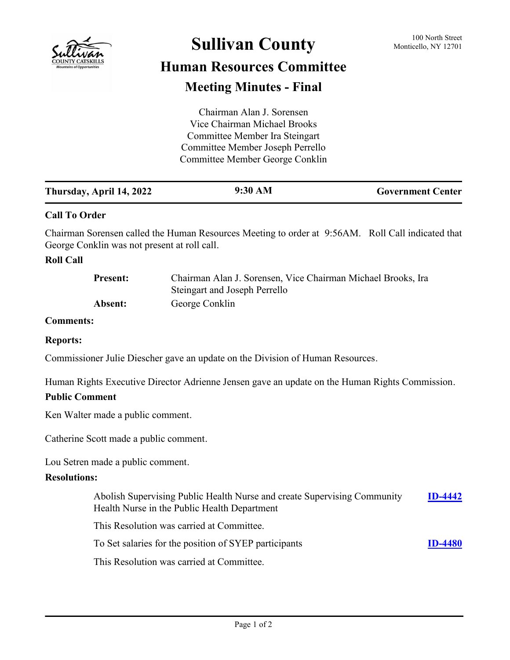

# **Sullivan County** 100 North Street 100 North Street

## **Human Resources Committee Meeting Minutes - Final**

| Chairman Alan J. Sorensen        |  |
|----------------------------------|--|
| Vice Chairman Michael Brooks     |  |
| Committee Member Ira Steingart   |  |
| Committee Member Joseph Perrello |  |
| Committee Member George Conklin  |  |
|                                  |  |

| 9:30 AM<br>Thursday, April 14, 2022<br><b>Government Center</b> |
|-----------------------------------------------------------------|
|-----------------------------------------------------------------|

#### **Call To Order**

Chairman Sorensen called the Human Resources Meeting to order at 9:56AM. Roll Call indicated that George Conklin was not present at roll call.

#### **Roll Call**

| <b>Present:</b> | Chairman Alan J. Sorensen, Vice Chairman Michael Brooks, Ira |
|-----------------|--------------------------------------------------------------|
|                 | Steingart and Joseph Perrello                                |
| Absent:         | George Conklin                                               |

#### **Comments:**

#### **Reports:**

Commissioner Julie Diescher gave an update on the Division of Human Resources.

Human Rights Executive Director Adrienne Jensen gave an update on the Human Rights Commission.

#### **Public Comment**

Ken Walter made a public comment.

Catherine Scott made a public comment.

Lou Setren made a public comment.

#### **Resolutions:**

| Abolish Supervising Public Health Nurse and create Supervising Community<br>Health Nurse in the Public Health Department | $ID-4442$      |
|--------------------------------------------------------------------------------------------------------------------------|----------------|
| This Resolution was carried at Committee.                                                                                |                |
| To Set salaries for the position of SYEP participants                                                                    | <b>ID-4480</b> |
| This Resolution was carried at Committee.                                                                                |                |